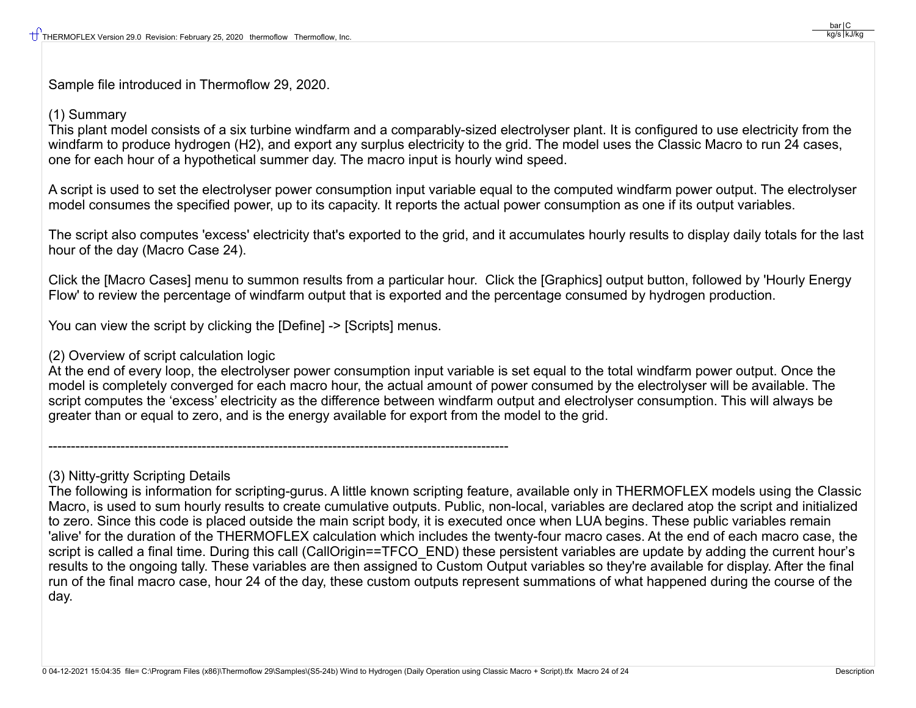Sample file introduced in Thermoflow 29, 2020.

## (1) Summary

This plant model consists of a six turbine windfarm and a comparably-sized electrolyser plant. It is configured to use electricity from the windfarm to produce hydrogen (H2), and export any surplus electricity to the grid. The model uses the Classic Macro to run 24 cases, one for each hour of a hypothetical summer day. The macro input is hourly wind speed.

A script is used to set the electrolyser power consumption input variable equal to the computed windfarm power output. The electrolyser model consumes the specified power, up to its capacity. It reports the actual power consumption as one if its output variables.

The script also computes 'excess' electricity that's exported to the grid, and it accumulates hourly results to display daily totals for the last hour of the day (Macro Case 24).

Click the [Macro Cases] menu to summon results from a particular hour. Click the [Graphics] output button, followed by 'Hourly Energy Flow' to review the percentage of windfarm output that is exported and the percentage consumed by hydrogen production.

You can view the script by clicking the [Define] -> [Scripts] menus.

------------------------------------------------------------------------------------------------------

## (2) Overview of script calculation logic

At the end of every loop, the electrolyser power consumption input variable is set equal to the total windfarm power output. Once the model is completely converged for each macro hour, the actual amount of power consumed by the electrolyser will be available. The script computes the 'excess' electricity as the difference between windfarm output and electrolyser consumption. This will always be greater than or equal to zero, and is the energy available for export from the model to the grid.

(3) Nitty-gritty Scripting Details

The following is information for scripting-gurus. A little known scripting feature, available only in THERMOFLEX models using the Classic Macro, is used to sum hourly results to create cumulative outputs. Public, non-local, variables are declared atop the script and initialized to zero. Since this code is placed outside the main script body, it is executed once when LUA begins. These public variables remain 'alive' for the duration of the THERMOFLEX calculation which includes the twenty-four macro cases. At the end of each macro case, the script is called a final time. During this call (CallOrigin==TFCO\_END) these persistent variables are update by adding the current hour's results to the ongoing tally. These variables are then assigned to Custom Output variables so they're available for display. After the final run of the final macro case, hour 24 of the day, these custom outputs represent summations of what happened during the course of the day.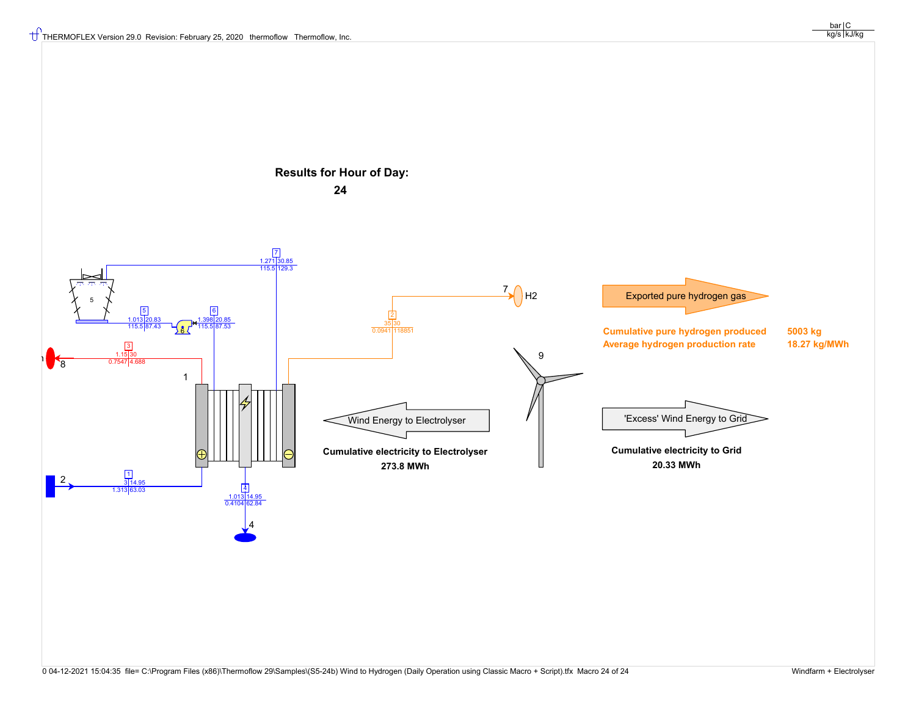